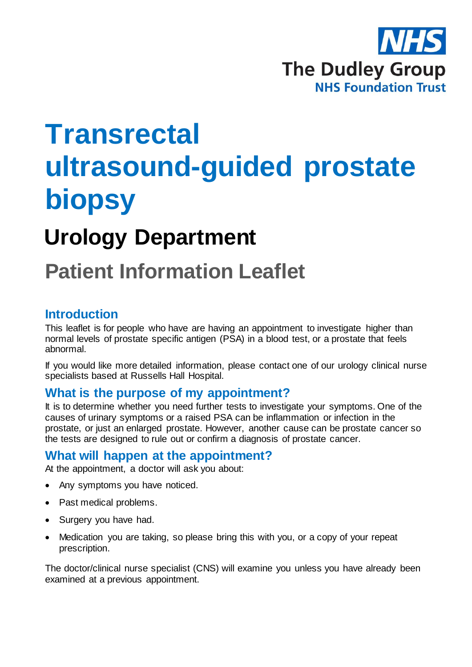

# **Transrectal ultrasound-guided prostate biopsy**

## **Urology Department**

## **Patient Information Leaflet**

## **Introduction**

This leaflet is for people who have are having an appointment to investigate higher than normal levels of prostate specific antigen (PSA) in a blood test, or a prostate that feels abnormal.

If you would like more detailed information, please contact one of our urology clinical nurse specialists based at Russells Hall Hospital.

## **What is the purpose of my appointment?**

It is to determine whether you need further tests to investigate your symptoms. One of the causes of urinary symptoms or a raised PSA can be inflammation or infection in the prostate, or just an enlarged prostate. However, another cause can be prostate cancer so the tests are designed to rule out or confirm a diagnosis of prostate cancer.

## **What will happen at the appointment?**

At the appointment, a doctor will ask you about:

- Any symptoms you have noticed.
- Past medical problems.
- Surgery you have had.
- Medication you are taking, so please bring this with you, or a copy of your repeat prescription.

The doctor/clinical nurse specialist (CNS) will examine you unless you have already been examined at a previous appointment.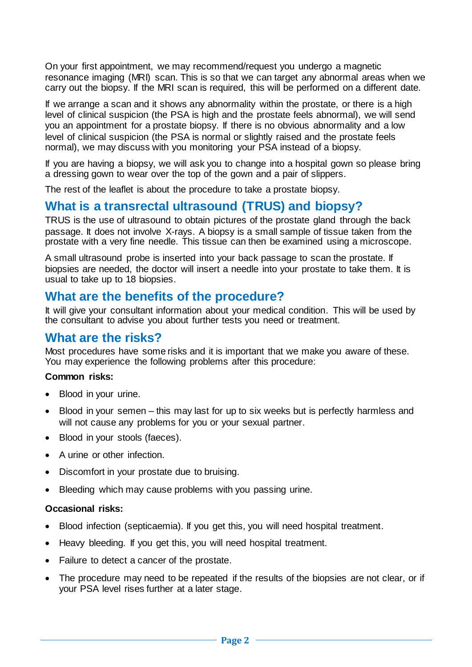On your first appointment, we may recommend/request you undergo a magnetic resonance imaging (MRI) scan. This is so that we can target any abnormal areas when we carry out the biopsy. If the MRI scan is required, this will be performed on a different date.

If we arrange a scan and it shows any abnormality within the prostate, or there is a high level of clinical suspicion (the PSA is high and the prostate feels abnormal), we will send you an appointment for a prostate biopsy. If there is no obvious abnormality and a low level of clinical suspicion (the PSA is normal or slightly raised and the prostate feels normal), we may discuss with you monitoring your PSA instead of a biopsy.

If you are having a biopsy, we will ask you to change into a hospital gown so please bring a dressing gown to wear over the top of the gown and a pair of slippers.

The rest of the leaflet is about the procedure to take a prostate biopsy.

## **What is a transrectal ultrasound (TRUS) and biopsy?**

TRUS is the use of ultrasound to obtain pictures of the prostate gland through the back passage. It does not involve X-rays. A biopsy is a small sample of tissue taken from the prostate with a very fine needle. This tissue can then be examined using a microscope.

A small ultrasound probe is inserted into your back passage to scan the prostate. If biopsies are needed, the doctor will insert a needle into your prostate to take them. It is usual to take up to 18 biopsies.

## **What are the benefits of the procedure?**

It will give your consultant information about your medical condition. This will be used by the consultant to advise you about further tests you need or treatment.

### **What are the risks?**

Most procedures have some risks and it is important that we make you aware of these. You may experience the following problems after this procedure:

#### **Common risks:**

- Blood in your urine.
- Blood in your semen this may last for up to six weeks but is perfectly harmless and will not cause any problems for you or your sexual partner.
- Blood in your stools (faeces).
- A urine or other infection.
- Discomfort in your prostate due to bruising.
- Bleeding which may cause problems with you passing urine.

#### **Occasional risks:**

- Blood infection (septicaemia). If you get this, you will need hospital treatment.
- Heavy bleeding. If you get this, you will need hospital treatment.
- Failure to detect a cancer of the prostate.
- The procedure may need to be repeated if the results of the biopsies are not clear, or if your PSA level rises further at a later stage.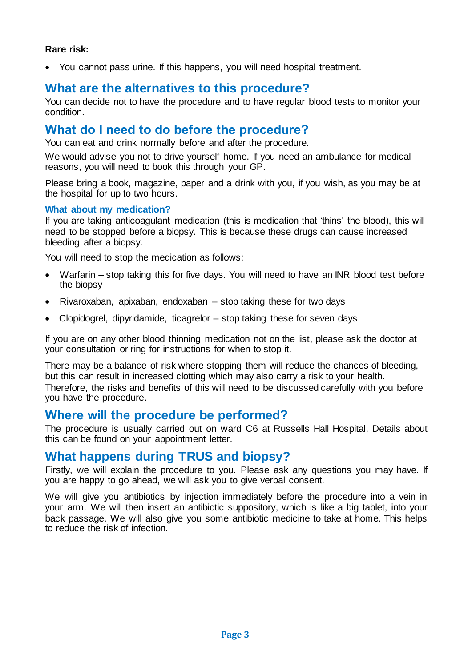#### **Rare risk:**

You cannot pass urine. If this happens, you will need hospital treatment.

## **What are the alternatives to this procedure?**

You can decide not to have the procedure and to have regular blood tests to monitor your condition.

## **What do I need to do before the procedure?**

You can eat and drink normally before and after the procedure.

We would advise you not to drive yourself home. If you need an ambulance for medical reasons, you will need to book this through your GP.

Please bring a book, magazine, paper and a drink with you, if you wish, as you may be at the hospital for up to two hours.

#### **What about my medication?**

If you are taking anticoagulant medication (this is medication that 'thins' the blood), this will need to be stopped before a biopsy. This is because these drugs can cause increased bleeding after a biopsy.

You will need to stop the medication as follows:

- Warfarin stop taking this for five days. You will need to have an INR blood test before the biopsy
- Rivaroxaban, apixaban, endoxaban stop taking these for two days
- Clopidogrel, dipyridamide, ticagrelor stop taking these for seven days

If you are on any other blood thinning medication not on the list, please ask the doctor at your consultation or ring for instructions for when to stop it.

There may be a balance of risk where stopping them will reduce the chances of bleeding, but this can result in increased clotting which may also carry a risk to your health. Therefore, the risks and benefits of this will need to be discussed carefully with you before you have the procedure.

#### **Where will the procedure be performed?**

The procedure is usually carried out on ward C6 at Russells Hall Hospital. Details about this can be found on your appointment letter.

#### **What happens during TRUS and biopsy?**

Firstly, we will explain the procedure to you. Please ask any questions you may have. If you are happy to go ahead, we will ask you to give verbal consent.

We will give you antibiotics by injection immediately before the procedure into a vein in your arm. We will then insert an antibiotic suppository, which is like a big tablet, into your back passage. We will also give you some antibiotic medicine to take at home. This helps to reduce the risk of infection.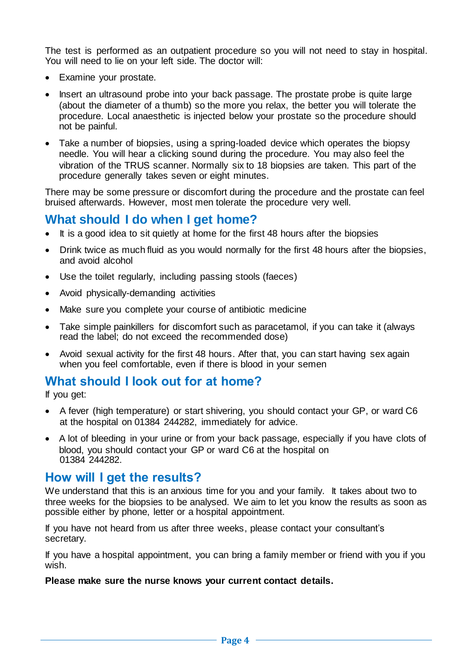The test is performed as an outpatient procedure so you will not need to stay in hospital. You will need to lie on your left side. The doctor will:

- Examine your prostate.
- Insert an ultrasound probe into your back passage. The prostate probe is quite large (about the diameter of a thumb) so the more you relax, the better you will tolerate the procedure. Local anaesthetic is injected below your prostate so the procedure should not be painful.
- Take a number of biopsies, using a spring-loaded device which operates the biopsy needle. You will hear a clicking sound during the procedure. You may also feel the vibration of the TRUS scanner. Normally six to 18 biopsies are taken. This part of the procedure generally takes seven or eight minutes.

There may be some pressure or discomfort during the procedure and the prostate can feel bruised afterwards. However, most men tolerate the procedure very well.

## **What should I do when I get home?**

- It is a good idea to sit quietly at home for the first 48 hours after the biopsies
- Drink twice as much fluid as you would normally for the first 48 hours after the biopsies, and avoid alcohol
- Use the toilet regularly, including passing stools (faeces)
- Avoid physically-demanding activities
- Make sure you complete your course of antibiotic medicine
- Take simple painkillers for discomfort such as paracetamol, if you can take it (always read the label; do not exceed the recommended dose)
- Avoid sexual activity for the first 48 hours. After that, you can start having sex again when you feel comfortable, even if there is blood in your semen

## **What should I look out for at home?**

If you get:

- A fever (high temperature) or start shivering, you should contact your GP, or ward C6 at the hospital on 01384 244282, immediately for advice.
- A lot of bleeding in your urine or from your back passage, especially if you have clots of blood, you should contact your GP or ward C6 at the hospital on 01384 244282.

#### **How will I get the results?**

We understand that this is an anxious time for you and your family. It takes about two to three weeks for the biopsies to be analysed. We aim to let you know the results as soon as possible either by phone, letter or a hospital appointment.

If you have not heard from us after three weeks, please contact your consultant's secretary.

If you have a hospital appointment, you can bring a family member or friend with you if you wish.

#### **Please make sure the nurse knows your current contact details.**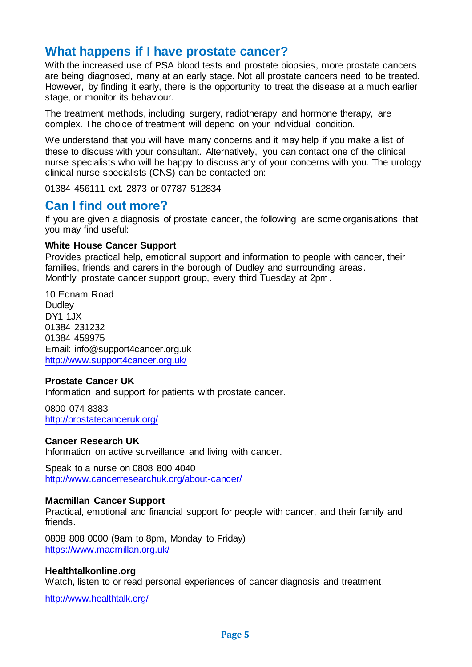## **What happens if I have prostate cancer?**

With the increased use of PSA blood tests and prostate biopsies, more prostate cancers are being diagnosed, many at an early stage. Not all prostate cancers need to be treated. However, by finding it early, there is the opportunity to treat the disease at a much earlier stage, or monitor its behaviour.

The treatment methods, including surgery, radiotherapy and hormone therapy, are complex. The choice of treatment will depend on your individual condition.

We understand that you will have many concerns and it may help if you make a list of these to discuss with your consultant. Alternatively, you can contact one of the clinical nurse specialists who will be happy to discuss any of your concerns with you. The urology clinical nurse specialists (CNS) can be contacted on:

01384 456111 ext. 2873 or 07787 512834

### **Can I find out more?**

If you are given a diagnosis of prostate cancer, the following are some organisations that you may find useful:

#### **White House Cancer Support**

Provides practical help, emotional support and information to people with cancer, their families, friends and carers in the borough of Dudley and surrounding areas. Monthly prostate cancer support group, every third Tuesday at 2pm.

10 Ednam Road **Dudley** DY1 1JX 01384 231232 01384 459975 Email: [info@support4cancer.org.uk](mailto:info@support4cancer.org.uk) <http://www.support4cancer.org.uk/>

#### **Prostate Cancer UK**

Information and support for patients with prostate cancer.

0800 074 8383 <http://prostatecanceruk.org/>

#### **Cancer Research UK**

Information on active surveillance and living with cancer.

Speak to a nurse on 0808 800 4040 <http://www.cancerresearchuk.org/about-cancer/>

#### **Macmillan Cancer Support**

Practical, emotional and financial support for people with cancer, and their family and friends.

0808 808 0000 (9am to 8pm, Monday to Friday) <https://www.macmillan.org.uk/>

#### **Healthtalkonline.org**

Watch, listen to or read personal experiences of cancer diagnosis and treatment.

<http://www.healthtalk.org/>